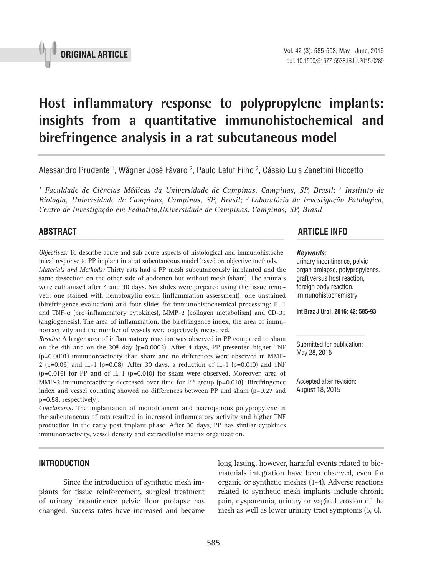

# **Host inflammatory response to polypropylene implants: insights from a quantitative immunohistochemical and birefringence analysis in a rat subcutaneous model \_\_\_\_\_\_\_\_\_\_\_\_\_\_\_\_\_\_\_\_\_\_\_\_\_\_\_\_\_\_\_\_\_\_\_\_\_\_\_\_\_\_\_\_\_\_\_**

Alessandro Prudente <sup>1</sup>, Wágner José Fávaro <sup>2</sup>, Paulo Latuf Filho <sup>3</sup>, Cássio Luis Zanettini Riccetto <sup>1</sup>

*1 Faculdade de Ciências Médicas da Universidade de Campinas, Campinas, SP, Brasil; 2 Instituto de Biologia, Universidade de Campinas, Campinas, SP, Brasil; 3 Laboratório de Investigação Patologica, Centro de Investigação em Pediatria,Universidade de Campinas, Campinas, SP, Brasil*

*Objectives:* To describe acute and sub acute aspects of histological and immunohistochemical response to PP implant in a rat subcutaneous model based on objective methods. *Materials and Methods:* Thirty rats had a PP mesh subcutaneously implanted and the same dissection on the other side of abdomen but without mesh (sham). The animals were euthanized after 4 and 30 days. Six slides were prepared using the tissue removed: one stained with hematoxylin-eosin (inflammation assessment); one unstained (birefringence evaluation) and four slides for immunohistochemical processing: IL-1 and TNF-α (pro-inflammatory cytokines), MMP-2 (collagen metabolism) and CD-31 (angiogenesis). The area of inflammation, the birefringence index, the area of immunoreactivity and the number of vessels were objectively measured.

*Results:* A larger area of inflammatory reaction was observed in PP compared to sham on the 4th and on the  $30<sup>th</sup>$  day (p=0.0002). After 4 days, PP presented higher TNF (p=0.0001) immunoreactivity than sham and no differences were observed in MMP-2 (p=0.06) and IL-1 (p=0.08). After 30 days, a reduction of IL-1 (p=0.010) and TNF (p=0.016) for PP and of IL-1 (p=0.010) for sham were observed. Moreover, area of MMP-2 immunoreactivity decreased over time for PP group (p=0.018). Birefringence index and vessel counting showed no differences between PP and sham (p=0.27 and p=0.58, respectively).

*Conclusions:* The implantation of monofilament and macroporous polypropylene in the subcutaneous of rats resulted in increased inflammatory activity and higher TNF production in the early post implant phase. After 30 days, PP has similar cytokines immunoreactivity, vessel density and extracellular matrix organization.

# **INTRODUCTION**

Since the introduction of synthetic mesh implants for tissue reinforcement, surgical treatment of urinary incontinence pelvic floor prolapse has changed. Success rates have increased and became

# **ABSTRACT ARTICLE INFO** *\_\_\_\_\_\_\_\_\_\_\_\_\_\_\_\_\_\_\_\_\_\_\_\_\_\_\_\_\_\_\_\_\_\_\_\_\_\_\_\_\_\_\_\_\_\_\_\_\_\_\_\_\_\_\_\_\_\_\_\_\_\_ \_\_\_\_\_\_\_\_\_\_\_\_\_\_\_\_\_\_\_\_\_\_*

#### *Keywords:*

urinary incontinence, pelvic organ prolapse, polypropylenes, graft versus host reaction, foreign body reaction, immunohistochemistry

**Int Braz J Urol. 2016; 42: 585-93**

Submitted for publication: May 28, 2015

Accepted after revision: August 18, 2015

long lasting, however, harmful events related to biomaterials integration have been observed, even for organic or synthetic meshes (1-4). Adverse reactions related to synthetic mesh implants include chronic pain, dyspareunia, urinary or vaginal erosion of the mesh as well as lower urinary tract symptoms (5, 6).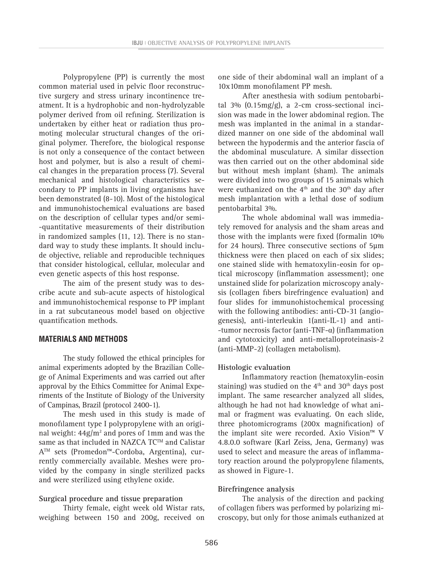Polypropylene (PP) is currently the most common material used in pelvic floor reconstructive surgery and stress urinary incontinence treatment. It is a hydrophobic and non-hydrolyzable polymer derived from oil refining. Sterilization is undertaken by either heat or radiation thus promoting molecular structural changes of the original polymer. Therefore, the biological response is not only a consequence of the contact between host and polymer, but is also a result of chemical changes in the preparation process (7). Several mechanical and histological characteristics secondary to PP implants in living organisms have been demonstrated (8-10). Most of the histological and immunohistochemical evaluations are based on the description of cellular types and/or semi- -quantitative measurements of their distribution in randomized samples (11, 12). There is no standard way to study these implants. It should include objective, reliable and reproducible techniques that consider histological, cellular, molecular and even genetic aspects of this host response.

The aim of the present study was to describe acute and sub-acute aspects of histological and immunohistochemical response to PP implant in a rat subcutaneous model based on objective quantification methods.

# **MATERIALS AND METHODS**

The study followed the ethical principles for animal experiments adopted by the Brazilian College of Animal Experiments and was carried out after approval by the Ethics Committee for Animal Experiments of the Institute of Biology of the University of Campinas, Brazil (protocol 2400-1).

The mesh used in this study is made of monofilament type I polypropylene with an original weight:  $44g/m^2$  and pores of 1mm and was the same as that included in NAZCA TC™ and Calistar ATM sets (Promedon™-Cordoba, Argentina), currently commercially available. Meshes were provided by the company in single sterilized packs and were sterilized using ethylene oxide.

#### **Surgical procedure and tissue preparation**

Thirty female, eight week old Wistar rats, weighing between 150 and 200g, received on one side of their abdominal wall an implant of a 10x10mm monofilament PP mesh.

After anesthesia with sodium pentobarbital  $3\%$  (0.15mg/g), a 2-cm cross-sectional incision was made in the lower abdominal region. The mesh was implanted in the animal in a standardized manner on one side of the abdominal wall between the hypodermis and the anterior fascia of the abdominal musculature. A similar dissection was then carried out on the other abdominal side but without mesh implant (sham). The animals were divided into two groups of 15 animals which were euthanized on the  $4<sup>th</sup>$  and the 30<sup>th</sup> day after mesh implantation with a lethal dose of sodium pentobarbital 3%.

The whole abdominal wall was immediately removed for analysis and the sham areas and those with the implants were fixed (formalin 10% for 24 hours). Three consecutive sections of 5μm thickness were then placed on each of six slides; one stained slide with hematoxylin-eosin for optical microscopy (inflammation assessment); one unstained slide for polarization microscopy analysis (collagen fibers birefringence evaluation) and four slides for immunohistochemical processing with the following antibodies: anti-CD-31 (angiogenesis), anti-interleukin 1(anti-IL-1) and anti- -tumor necrosis factor (anti-TNF-α) (inflammation and cytotoxicity) and anti-metalloproteinasis-2 (anti-MMP-2) (collagen metabolism).

#### **Histologic evaluation**

Inflammatory reaction (hematoxylin-eosin staining) was studied on the  $4<sup>th</sup>$  and  $30<sup>th</sup>$  days post implant. The same researcher analyzed all slides, although he had not had knowledge of what animal or fragment was evaluating. On each slide, three photomicrograms (200x magnification) of the implant site were recorded. Axio Vision™ V 4.8.0.0 software (Karl Zeiss, Jena, Germany) was used to select and measure the areas of inflammatory reaction around the polypropylene filaments, as showed in Figure-1.

# **Birefringence analysis**

The analysis of the direction and packing of collagen fibers was performed by polarizing microscopy, but only for those animals euthanized at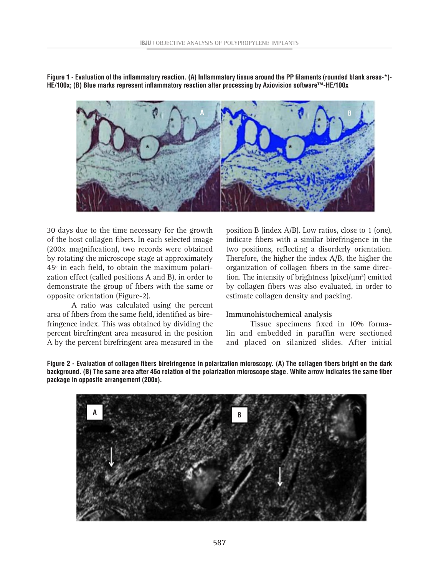**Figure 1 - Evaluation of the inflammatory reaction. (A) Inflammatory tissue around the PP filaments (rounded blank areas-\*)- HE/100x; (B) Blue marks represent inflammatory reaction after processing by Axiovision software™-HE/100x**



30 days due to the time necessary for the growth of the host collagen fibers. In each selected image (200x magnification), two records were obtained by rotating the microscope stage at approximately 45º in each field, to obtain the maximum polarization effect (called positions A and B), in order to demonstrate the group of fibers with the same or opposite orientation (Figure-2).

A ratio was calculated using the percent area of fibers from the same field, identified as birefringence index. This was obtained by dividing the percent birefringent area measured in the position A by the percent birefringent area measured in the

position B (index A/B). Low ratios, close to 1 (one), indicate fibers with a similar birefringence in the two positions, reflecting a disorderly orientation. Therefore, the higher the index A/B, the higher the organization of collagen fibers in the same direction. The intensity of brightness ( $pixel/\mu m^2$ ) emitted by collagen fibers was also evaluated, in order to estimate collagen density and packing.

# **Immunohistochemical analysis**

Tissue specimens fixed in 10% formalin and embedded in paraffin were sectioned and placed on silanized slides. After initial

**Figure 2 - Evaluation of collagen fibers birefringence in polarization microscopy. (A) The collagen fibers bright on the dark background. (B) The same area after 45o rotation of the polarization microscope stage. White arrow indicates the same fiber package in opposite arrangement (200x).**

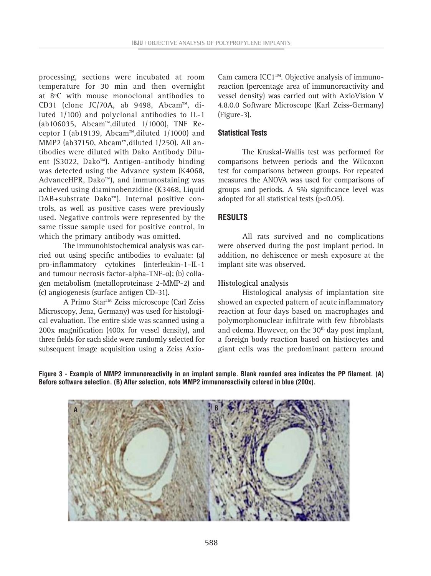processing, sections were incubated at room temperature for 30 min and then overnight at 8ºC with mouse monoclonal antibodies to CD31 (clone JC/70A, ab 9498, Abcam™, diluted 1/100) and polyclonal antibodies to IL-1 (ab106035, Abcam™,diluted 1/1000), TNF Receptor I (ab19139, Abcam™,diluted 1/1000) and MMP2 (ab37150, Abcam™,diluted 1/250). All antibodies were diluted with Dako Antibody Diluent (S3022, Dako™). Antigen-antibody binding was detected using the Advance system (K4068, AdvanceHPR, Dako™), and immunostaining was achieved using diaminobenzidine (K3468, Liquid DAB+substrate Dako™). Internal positive controls, as well as positive cases were previously used. Negative controls were represented by the same tissue sample used for positive control, in which the primary antibody was omitted.

The immunohistochemical analysis was carried out using specific antibodies to evaluate: (a) pro-inflammatory cytokines (interleukin-1–IL-1 and tumour necrosis factor-alpha-TNF-α); (b) collagen metabolism (metalloproteinase 2-MMP-2) and (c) angiogenesis (surface antigen CD-31).

A Primo Star<sup>™</sup> Zeiss microscope (Carl Zeiss Microscopy, Jena, Germany) was used for histological evaluation. The entire slide was scanned using a 200x magnification (400x for vessel density), and three fields for each slide were randomly selected for subsequent image acquisition using a Zeiss AxioCam camera ICC1™. Objective analysis of immunoreaction (percentage area of immunoreactivity and vessel density) was carried out with AxioVision V 4.8.0.0 Software Microscope (Karl Zeiss-Germany) (Figure-3).

# **Statistical Tests**

The Kruskal-Wallis test was performed for comparisons between periods and the Wilcoxon test for comparisons between groups. For repeated measures the ANOVA was used for comparisons of groups and periods. A 5% significance level was adopted for all statistical tests (p<0.05).

# **RESULTS**

All rats survived and no complications were observed during the post implant period. In addition, no dehiscence or mesh exposure at the implant site was observed.

# **Histological analysis**

Histological analysis of implantation site showed an expected pattern of acute inflammatory reaction at four days based on macrophages and polymorphonuclear infiltrate with few fibroblasts and edema. However, on the 30<sup>th</sup> day post implant, a foreign body reaction based on histiocytes and giant cells was the predominant pattern around

**Figure 3 - Example of MMP2 immunoreactivity in an implant sample. Blank rounded area indicates the PP filament. (A) Before software selection. (B) After selection, note MMP2 immunoreactivity colored in blue (200x).**

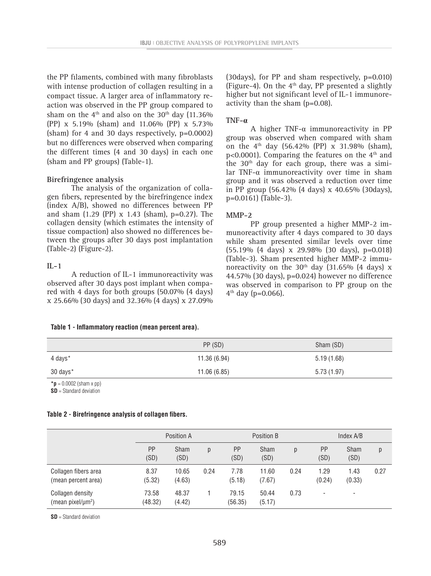the PP filaments, combined with many fibroblasts with intense production of collagen resulting in a compact tissue. A larger area of inflammatory reaction was observed in the PP group compared to sham on the  $4<sup>th</sup>$  and also on the 30<sup>th</sup> day (11.36%) (PP) x 5.19% (sham) and 11.06% (PP) x 5.73% (sham) for 4 and 30 days respectively, p=0.0002) but no differences were observed when comparing the different times (4 and 30 days) in each one (sham and PP groups) (Table-1).

### **Birefringence analysis**

The analysis of the organization of collagen fibers, represented by the birefringence index (index A/B), showed no differences between PP and sham (1.29 (PP) x 1.43 (sham), p=0.27). The collagen density (which estimates the intensity of tissue compaction) also showed no differences between the groups after 30 days post implantation (Table-2) (Figure-2).

## **IL-1**

A reduction of IL-1 immunoreactivity was observed after 30 days post implant when compared with 4 days for both groups (50.07% (4 days) x 25.66% (30 days) and 32.36% (4 days) x 27.09%

## **Table 1 - Inflammatory reaction (mean percent area).**

(30days), for PP and sham respectively, p=0.010) (Figure-4). On the  $4<sup>th</sup>$  day, PP presented a slightly higher but not significant level of IL-1 immunoreactivity than the sham (p=0.08).

#### **TNF-α**

A higher TNF-α immunoreactivity in PP group was observed when compared with sham on the 4th day (56.42% (PP) x 31.98% (sham), p<0.0001). Comparing the features on the  $4<sup>th</sup>$  and the 30<sup>th</sup> day for each group, there was a similar TNF- $\alpha$  immunoreactivity over time in sham group and it was observed a reduction over time in PP group (56.42% (4 days) x 40.65% (30days), p=0.0161) (Table-3).

#### **MMP-2**

PP group presented a higher MMP-2 immunoreactivity after 4 days compared to 30 days while sham presented similar levels over time (55.19% (4 days) x 29.98% (30 days), p=0.018) (Table-3). Sham presented higher MMP-2 immunoreactivity on the 30<sup>th</sup> day (31.65% (4 days) x 44.57% (30 days), p=0.024) however no difference was observed in comparison to PP group on the  $4^{th}$  day (p=0.066).

|          | PP (SD)     | Sham (SD)  |
|----------|-------------|------------|
| 4 days*  | 11.36(6.94) | 5.19(1.68) |
| 30 days* | 11.06(6.85) | 5.73(1.97) |

 $*$ **p** = 0.0002 (sham x pp)

**SD** = Standard deviation

#### **Table 2 - Birefringence analysis of collagen fibers.**

|                                                   | Position A       |                     |      | Position B        |                     |      | Index A/B         |                     |      |
|---------------------------------------------------|------------------|---------------------|------|-------------------|---------------------|------|-------------------|---------------------|------|
|                                                   | PP<br>(SD)       | <b>Sham</b><br>(SD) | p    | <b>PP</b><br>(SD) | <b>Sham</b><br>(SD) | p    | <b>PP</b><br>(SD) | <b>Sham</b><br>(SD) | p    |
| Collagen fibers area<br>(mean percent area)       | 8.37<br>(5.32)   | 10.65<br>(4.63)     | 0.24 | 7.78<br>(5.18)    | 11.60<br>(7.67)     | 0.24 | 1.29<br>(0.24)    | 1.43<br>(0.33)      | 0.27 |
| Collagen density<br>(mean pixel/µm <sup>2</sup> ) | 73.58<br>(48.32) | 48.37<br>(4.42)     |      | 79.15<br>(56.35)  | 50.44<br>(5.17)     | 0.73 | ۰                 | ٠                   |      |

**SD** = Standard deviation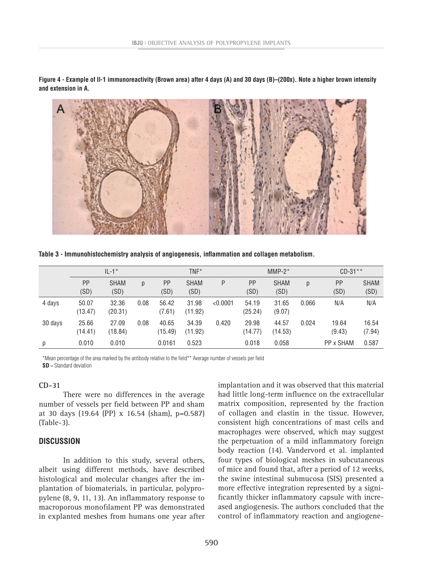**Figure 4 - Example of Il-1 immunoreactivity (Brown area) after 4 days (A) and 30 days (B)–(200x). Note a higher brown intensity and extension in A.**



**Table 3 - Immunohistochemistry analysis of angiogenesis, inflammation and collagen metabolism.**

|         | $II - 1*$        |                     |      | $TNF^*$          |                     |          | $MMP-2*$          |                     |       | $CD-31**$         |                     |
|---------|------------------|---------------------|------|------------------|---------------------|----------|-------------------|---------------------|-------|-------------------|---------------------|
|         | PP<br>(SD)       | <b>SHAM</b><br>(SD) | p    | PP<br>(SD)       | <b>SHAM</b><br>(SD) | P        | <b>PP</b><br>(SD) | <b>SHAM</b><br>(SD) | p     | <b>PP</b><br>(SD) | <b>SHAM</b><br>(SD) |
| 4 days  | 50.07<br>(13.47) | 32.36<br>(20.31)    | 0.08 | 56.42<br>(7.61)  | 31.98<br>(11.92)    | < 0.0001 | 54.19<br>(25.24)  | 31.65<br>(9.07)     | 0.066 | N/A               | N/A                 |
| 30 days | 25.66<br>(14.41) | 27.09<br>(18.84)    | 0.08 | 40.65<br>(15.49) | 34.39<br>(11.92)    | 0.420    | 29.98<br>(14.77)  | 44.57<br>(14.53)    | 0.024 | 19.64<br>(9.43)   | 16.54<br>(7.94)     |
| р       | 0.010            | 0.010               |      | 0.0161           | 0.523               |          | 0.018             | 0.058               |       | PP x SHAM         | 0.587               |

\*Mean percentage of the area marked by the antibody relative to the field\*\* Average number of vessels per field **SD** = Standard deviation

# **CD-31**

There were no differences in the average number of vessels per field between PP and sham at 30 days (19.64 (PP) x 16.54 (sham), p=0.587) (Table-3).

# **DISCUSSION**

In addition to this study, several others, albeit using different methods, have described histological and molecular changes after the implantation of biomaterials, in particular, polypropylene (8, 9, 11, 13). An inflammatory response to macroporous monofilament PP was demonstrated in explanted meshes from humans one year after

implantation and it was observed that this material had little long-term influence on the extracellular matrix composition, represented by the fraction of collagen and elastin in the tissue. However, consistent high concentrations of mast cells and macrophages were observed, which may suggest the perpetuation of a mild inflammatory foreign body reaction (14). Vandervord et al. implanted four types of biological meshes in subcutaneous of mice and found that, after a period of 12 weeks, the swine intestinal submucosa (SIS) presented a more effective integration represented by a significantly thicker inflammatory capsule with increased angiogenesis. The authors concluded that the control of inflammatory reaction and angiogene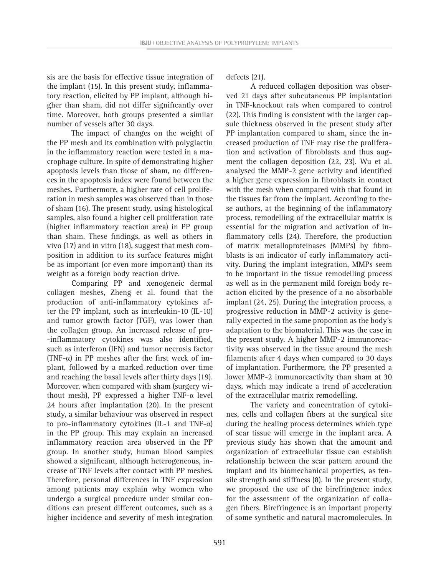sis are the basis for effective tissue integration of the implant (15). In this present study, inflammatory reaction, elicited by PP implant, although higher than sham, did not differ significantly over time. Moreover, both groups presented a similar number of vessels after 30 days.

The impact of changes on the weight of the PP mesh and its combination with polyglactin in the inflammatory reaction were tested in a macrophage culture. In spite of demonstrating higher apoptosis levels than those of sham, no differences in the apoptosis index were found between the meshes. Furthermore, a higher rate of cell proliferation in mesh samples was observed than in those of sham (16). The present study, using histological samples, also found a higher cell proliferation rate (higher inflammatory reaction area) in PP group than sham. These findings, as well as others in vivo (17) and in vitro (18), suggest that mesh composition in addition to its surface features might be as important (or even more important) than its weight as a foreign body reaction drive.

Comparing PP and xenogeneic dermal collagen meshes, Zheng et al. found that the production of anti-inflammatory cytokines after the PP implant, such as interleukin-10 (IL-10) and tumor growth factor (TGF), was lower than the collagen group. An increased release of pro- -inflammatory cytokines was also identified, such as interferon (IFN) and tumor necrosis factor (TNF- $\alpha$ ) in PP meshes after the first week of implant, followed by a marked reduction over time and reaching the basal levels after thirty days (19). Moreover, when compared with sham (surgery without mesh), PP expressed a higher TNF- $α$  level 24 hours after implantation (20). In the present study, a similar behaviour was observed in respect to pro-inflammatory cytokines (IL-1 and TNF- $\alpha$ ) in the PP group. This may explain an increased inflammatory reaction area observed in the PP group. In another study, human blood samples showed a significant, although heterogeneous, increase of TNF levels after contact with PP meshes. Therefore, personal differences in TNF expression among patients may explain why women who undergo a surgical procedure under similar conditions can present different outcomes, such as a higher incidence and severity of mesh integration defects (21).

A reduced collagen deposition was observed 21 days after subcutaneous PP implantation in TNF-knockout rats when compared to control (22). This finding is consistent with the larger capsule thickness observed in the present study after PP implantation compared to sham, since the increased production of TNF may rise the proliferation and activation of fibroblasts and thus augment the collagen deposition (22, 23). Wu et al. analysed the MMP-2 gene activity and identified a higher gene expression in fibroblasts in contact with the mesh when compared with that found in the tissues far from the implant. According to these authors, at the beginning of the inflammatory process, remodelling of the extracellular matrix is essential for the migration and activation of inflammatory cells (24). Therefore, the production of matrix metalloproteinases (MMPs) by fibroblasts is an indicator of early inflammatory activity. During the implant integration, MMPs seem to be important in the tissue remodelling process as well as in the permanent mild foreign body reaction elicited by the presence of a no absorbable implant (24, 25). During the integration process, a progressive reduction in MMP-2 activity is generally expected in the same proportion as the body's adaptation to the biomaterial. This was the case in the present study. A higher MMP-2 immunoreactivity was observed in the tissue around the mesh filaments after 4 days when compared to 30 days of implantation. Furthermore, the PP presented a lower MMP-2 immunoreactivity than sham at 30 days, which may indicate a trend of acceleration of the extracellular matrix remodelling.

The variety and concentration of cytokines, cells and collagen fibers at the surgical site during the healing process determines which type of scar tissue will emerge in the implant area. A previous study has shown that the amount and organization of extracellular tissue can establish relationship between the scar pattern around the implant and its biomechanical properties, as tensile strength and stiffness (8). In the present study, we proposed the use of the birefringence index for the assessment of the organization of collagen fibers. Birefringence is an important property of some synthetic and natural macromolecules. In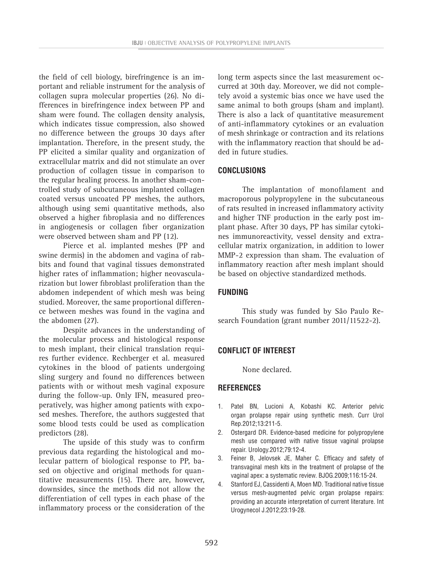the field of cell biology, birefringence is an important and reliable instrument for the analysis of collagen supra molecular properties (26). No differences in birefringence index between PP and sham were found. The collagen density analysis, which indicates tissue compression, also showed no difference between the groups 30 days after implantation. Therefore, in the present study, the PP elicited a similar quality and organization of extracellular matrix and did not stimulate an over production of collagen tissue in comparison to the regular healing process. In another sham-controlled study of subcutaneous implanted collagen coated versus uncoated PP meshes, the authors, although using semi quantitative methods, also observed a higher fibroplasia and no differences in angiogenesis or collagen fiber organization were observed between sham and PP (12).

Pierce et al. implanted meshes (PP and swine dermis) in the abdomen and vagina of rabbits and found that vaginal tissues demonstrated higher rates of inflammation; higher neovascularization but lower fibroblast proliferation than the abdomen independent of which mesh was being studied. Moreover, the same proportional difference between meshes was found in the vagina and the abdomen (27).

Despite advances in the understanding of the molecular process and histological response to mesh implant, their clinical translation requires further evidence. Rechberger et al. measured cytokines in the blood of patients undergoing sling surgery and found no differences between patients with or without mesh vaginal exposure during the follow-up. Only IFN, measured preoperatively, was higher among patients with exposed meshes. Therefore, the authors suggested that some blood tests could be used as complication predictors (28).

The upside of this study was to confirm previous data regarding the histological and molecular pattern of biological response to PP, based on objective and original methods for quantitative measurements (15). There are, however, downsides, since the methods did not allow the differentiation of cell types in each phase of the inflammatory process or the consideration of the

long term aspects since the last measurement occurred at 30th day. Moreover, we did not completely avoid a systemic bias once we have used the same animal to both groups (sham and implant). There is also a lack of quantitative measurement of anti-inflammatory cytokines or an evaluation of mesh shrinkage or contraction and its relations with the inflammatory reaction that should be added in future studies.

# **CONCLUSIONS**

The implantation of monofilament and macroporous polypropylene in the subcutaneous of rats resulted in increased inflammatory activity and higher TNF production in the early post implant phase. After 30 days, PP has similar cytokines immunoreactivity, vessel density and extracellular matrix organization, in addition to lower MMP-2 expression than sham. The evaluation of inflammatory reaction after mesh implant should be based on objective standardized methods.

# **FUNDING**

This study was funded by São Paulo Research Foundation (grant number 2011/11522-2).

# **CONFLICT OF INTEREST**

None declared.

# **REFERENCES**

- 1. Patel BN, Lucioni A, Kobashi KC. Anterior pelvic organ prolapse repair using synthetic mesh. Curr Urol Rep.2012;13:211-5.
- 2. Ostergard DR. Evidence-based medicine for polypropylene mesh use compared with native tissue vaginal prolapse repair. Urology.2012;79:12-4.
- 3. Feiner B, Jelovsek JE, Maher C. Efficacy and safety of transvaginal mesh kits in the treatment of prolapse of the vaginal apex: a systematic review. BJOG.2009;116:15-24.
- 4. Stanford EJ, Cassidenti A, Moen MD. Traditional native tissue versus mesh-augmented pelvic organ prolapse repairs: providing an accurate interpretation of current literature. Int Urogynecol J.2012;23:19-28.